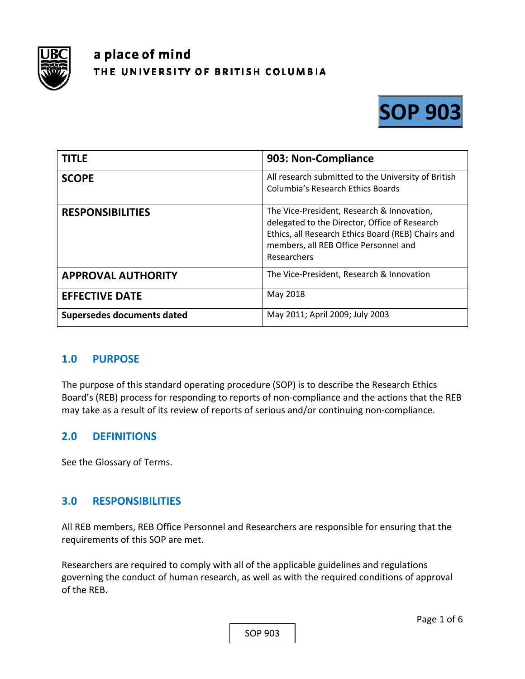

# a place of mind THE UNIVERSITY OF BRITISH COLUMBIA



| <b>TITLE</b>               | 903: Non-Compliance                                                                                                                                                                                       |
|----------------------------|-----------------------------------------------------------------------------------------------------------------------------------------------------------------------------------------------------------|
| <b>SCOPE</b>               | All research submitted to the University of British<br>Columbia's Research Ethics Boards                                                                                                                  |
| <b>RESPONSIBILITIES</b>    | The Vice-President, Research & Innovation,<br>delegated to the Director, Office of Research<br>Ethics, all Research Ethics Board (REB) Chairs and<br>members, all REB Office Personnel and<br>Researchers |
| <b>APPROVAL AUTHORITY</b>  | The Vice-President, Research & Innovation                                                                                                                                                                 |
| <b>EFFECTIVE DATE</b>      | May 2018                                                                                                                                                                                                  |
| Supersedes documents dated | May 2011; April 2009; July 2003                                                                                                                                                                           |

### **1.0 PURPOSE**

The purpose of this standard operating procedure (SOP) is to describe the Research Ethics Board's (REB) process for responding to reports of non‐compliance and the actions that the REB may take as a result of its review of reports of serious and/or continuing non‐compliance.

### **2.0 DEFINITIONS**

See the Glossary of Terms.

### **3.0 RESPONSIBILITIES**

All REB members, REB Office Personnel and Researchers are responsible for ensuring that the requirements of this SOP are met.

Researchers are required to comply with all of the applicable guidelines and regulations governing the conduct of human research, as well as with the required conditions of approval of the REB.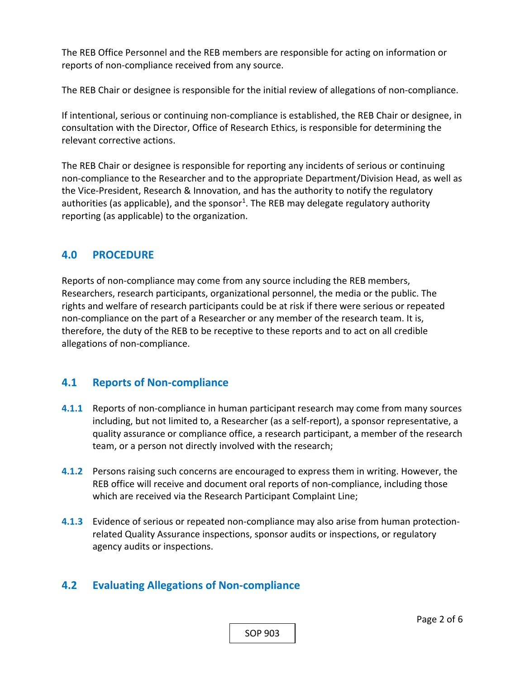The REB Office Personnel and the REB members are responsible for acting on information or reports of non‐compliance received from any source.

The REB Chair or designee is responsible for the initial review of allegations of non‐compliance.

If intentional, serious or continuing non‐compliance is established, the REB Chair or designee, in consultation with the Director, Office of Research Ethics, is responsible for determining the relevant corrective actions.

The REB Chair or designee is responsible for reporting any incidents of serious or continuing non‐compliance to the Researcher and to the appropriate Department/Division Head, as well as the Vice‐President, Research & Innovation, and has the authority to notify the regulatory authorities (as applicable), and the sponsor<sup>1</sup>. The REB may delegate regulatory authority reporting (as applicable) to the organization.

### **4.0 PROCEDURE**

Reports of non‐compliance may come from any source including the REB members, Researchers, research participants, organizational personnel, the media or the public. The rights and welfare of research participants could be at risk if there were serious or repeated non-compliance on the part of a Researcher or any member of the research team. It is, therefore, the duty of the REB to be receptive to these reports and to act on all credible allegations of non‐compliance.

### **4.1 Reports of Non‐compliance**

- **4.1.1** Reports of non‐compliance in human participant research may come from many sources including, but not limited to, a Researcher (as a self‐report), a sponsor representative, a quality assurance or compliance office, a research participant, a member of the research team, or a person not directly involved with the research;
- **4.1.2** Persons raising such concerns are encouraged to express them in writing. However, the REB office will receive and document oral reports of non‐compliance, including those which are received via the Research Participant Complaint Line;
- **4.1.3**  Evidence of serious or repeated non‐compliance may also arise from human protection‐ related Quality Assurance inspections, sponsor audits or inspections, or regulatory agency audits or inspections.

### **4.2 Evaluating Allegations of Non‐compliance**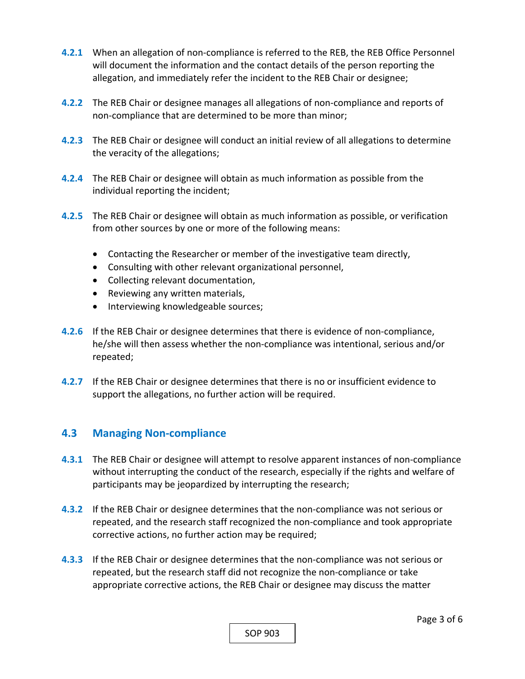- **4.2.1** When an allegation of non-compliance is referred to the REB, the REB Office Personnel will document the information and the contact details of the person reporting the allegation, and immediately refer the incident to the REB Chair or designee;
- **4.2.2** The REB Chair or designee manages all allegations of non-compliance and reports of non‐compliance that are determined to be more than minor;
- **4.2.3**  The REB Chair or designee will conduct an initial review of all allegations to determine the veracity of the allegations;
- **4.2.4**  The REB Chair or designee will obtain as much information as possible from the individual reporting the incident;
- **4.2.5**  The REB Chair or designee will obtain as much information as possible, or verification from other sources by one or more of the following means:
	- Contacting the Researcher or member of the investigative team directly,
	- Consulting with other relevant organizational personnel,
	- Collecting relevant documentation,
	- Reviewing any written materials,
	- Interviewing knowledgeable sources;
- **4.2.6**  If the REB Chair or designee determines that there is evidence of non‐compliance, he/she will then assess whether the non-compliance was intentional, serious and/or repeated;
- **4.2.7**  If the REB Chair or designee determines that there is no or insufficient evidence to support the allegations, no further action will be required.

### **4.3 Managing Non‐compliance**

- **4.3.1** The REB Chair or designee will attempt to resolve apparent instances of non‐compliance without interrupting the conduct of the research, especially if the rights and welfare of participants may be jeopardized by interrupting the research;
- **4.3.2** If the REB Chair or designee determines that the non‐compliance was not serious or repeated, and the research staff recognized the non‐compliance and took appropriate corrective actions, no further action may be required;
- **4.3.3**  If the REB Chair or designee determines that the non‐compliance was not serious or repeated, but the research staff did not recognize the non‐compliance or take appropriate corrective actions, the REB Chair or designee may discuss the matter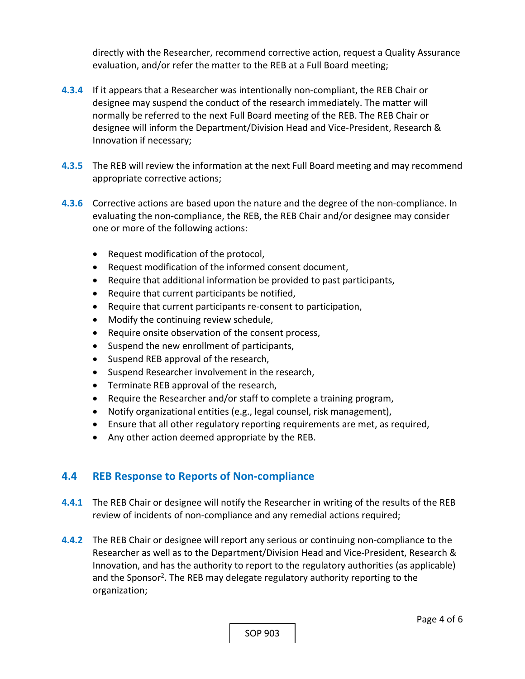directly with the Researcher, recommend corrective action, request a Quality Assurance evaluation, and/or refer the matter to the REB at a Full Board meeting;

- **4.3.4**  If it appears that a Researcher was intentionally non‐compliant, the REB Chair or designee may suspend the conduct of the research immediately. The matter will normally be referred to the next Full Board meeting of the REB. The REB Chair or designee will inform the Department/Division Head and Vice‐President, Research & Innovation if necessary;
- **4.3.5**  The REB will review the information at the next Full Board meeting and may recommend appropriate corrective actions;
- **4.3.6**  Corrective actions are based upon the nature and the degree of the non‐compliance. In evaluating the non‐compliance, the REB, the REB Chair and/or designee may consider one or more of the following actions:
	- Request modification of the protocol,
	- Request modification of the informed consent document,
	- Require that additional information be provided to past participants,
	- Require that current participants be notified,
	- Require that current participants re-consent to participation,
	- Modify the continuing review schedule,
	- Require onsite observation of the consent process,
	- Suspend the new enrollment of participants,
	- Suspend REB approval of the research,
	- Suspend Researcher involvement in the research,
	- Terminate REB approval of the research,
	- Require the Researcher and/or staff to complete a training program,
	- Notify organizational entities (e.g., legal counsel, risk management),
	- Ensure that all other regulatory reporting requirements are met, as required,
	- Any other action deemed appropriate by the REB.

## **4.4 REB Response to Reports of Non‐compliance**

- **4.4.1** The REB Chair or designee will notify the Researcher in writing of the results of the REB review of incidents of non‐compliance and any remedial actions required;
- **4.4.2** The REB Chair or designee will report any serious or continuing non‐compliance to the Researcher as well as to the Department/Division Head and Vice‐President, Research & Innovation, and has the authority to report to the regulatory authorities (as applicable) and the Sponsor<sup>2</sup>. The REB may delegate regulatory authority reporting to the organization;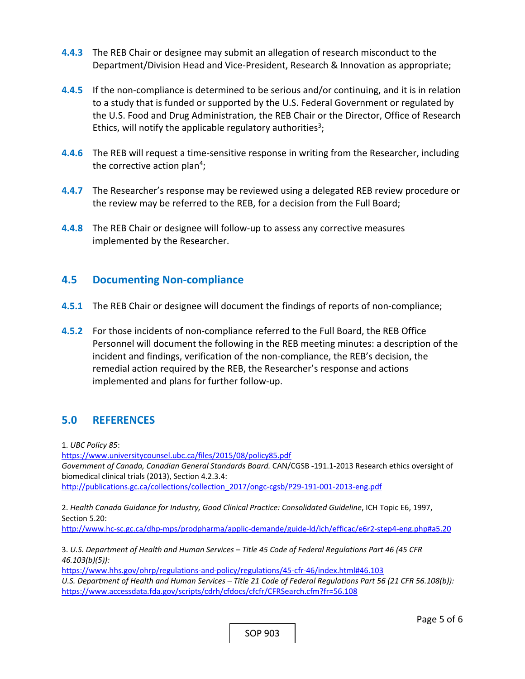- **4.4.3**  The REB Chair or designee may submit an allegation of research misconduct to the Department/Division Head and Vice-President, Research & Innovation as appropriate;
- **4.4.5** If the non-compliance is determined to be serious and/or continuing, and it is in relation to a study that is funded or supported by the U.S. Federal Government or regulated by the U.S. Food and Drug Administration, the REB Chair or the Director, Office of Research Ethics, will notify the applicable regulatory authorities<sup>3</sup>;
- **4.4.6**  The REB will request a time‐sensitive response in writing from the Researcher, including the corrective action plan<sup>4</sup>;
- **4.4.7**  The Researcher's response may be reviewed using a delegated REB review procedure or the review may be referred to the REB, for a decision from the Full Board;
- **4.4.8**  The REB Chair or designee will follow‐up to assess any corrective measures implemented by the Researcher.

#### **4.5 Documenting Non‐compliance**

- **4.5.1** The REB Chair or designee will document the findings of reports of non-compliance;
- **4.5.2** For those incidents of non‐compliance referred to the Full Board, the REB Office Personnel will document the following in the REB meeting minutes: a description of the incident and findings, verification of the non‐compliance, the REB's decision, the remedial action required by the REB, the Researcher's response and actions implemented and plans for further follow‐up.

### **5.0 REFERENCES**

1. *UBC Policy 85*:

https://www.universitycounsel.ubc.ca/files/2015/08/policy85.pdf *Government of Canada, Canadian General Standards Board.* CAN/CGSB ‐191.1‐2013 Research ethics oversight of biomedical clinical trials (2013), Section 4.2.3.4:

http://publications.gc.ca/collections/collection\_2017/ongc‐cgsb/P29‐191‐001‐2013‐eng.pdf

2. *Health Canada Guidance for Industry, Good Clinical Practice: Consolidated Guideline*, ICH Topic E6, 1997, Section 5.20:

http://www.hc‐sc.gc.ca/dhp‐mps/prodpharma/applic‐demande/guide‐ld/ich/efficac/e6r2‐step4‐eng.php#a5.20

3. *U.S. Department of Health and Human Services – Title 45 Code of Federal Regulations Part 46 (45 CFR 46.103(b)(5)):* 

https://www.hhs.gov/ohrp/regulations‐and‐policy/regulations/45‐cfr‐46/index.html#46.103 *U.S. Department of Health and Human Services – Title 21 Code of Federal Regulations Part 56 (21 CFR 56.108(b)):*  https://www.accessdata.fda.gov/scripts/cdrh/cfdocs/cfcfr/CFRSearch.cfm?fr=56.108